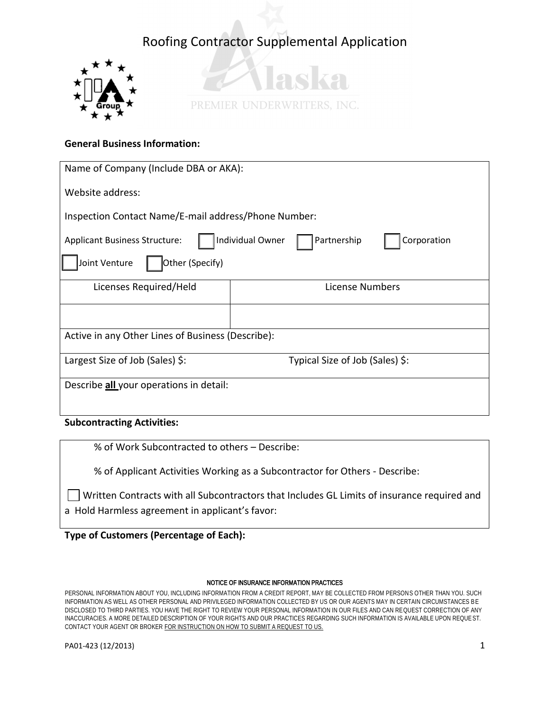



### **General Business Information:**

| Name of Company (Include DBA or AKA):                                                  |                                 |  |  |  |
|----------------------------------------------------------------------------------------|---------------------------------|--|--|--|
| Website address:                                                                       |                                 |  |  |  |
| Inspection Contact Name/E-mail address/Phone Number:                                   |                                 |  |  |  |
| Individual Owner<br>Corporation<br>Partnership<br><b>Applicant Business Structure:</b> |                                 |  |  |  |
| Other (Specify)<br>Joint Venture                                                       |                                 |  |  |  |
| Licenses Required/Held                                                                 | License Numbers                 |  |  |  |
|                                                                                        |                                 |  |  |  |
| Active in any Other Lines of Business (Describe):                                      |                                 |  |  |  |
| Largest Size of Job (Sales) \$:                                                        | Typical Size of Job (Sales) \$: |  |  |  |
| Describe all your operations in detail:                                                |                                 |  |  |  |

### **Subcontracting Activities:**

% of Work Subcontracted to others – Describe:

% of Applicant Activities Working as a Subcontractor for Others - Describe:

Written Contracts with all Subcontractors that Includes GL Limits of insurance required and a Hold Harmless agreement in applicant's favor:

**Type of Customers (Percentage of Each):** 

### NOTICE OF INSURANCE INFORMATION PRACTICES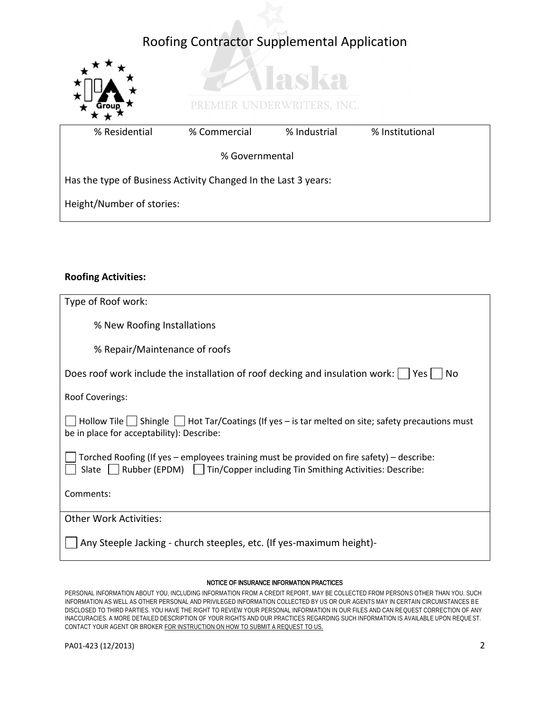

### **Roofing Activities:**

| Type of Roof work:                                                                                                                                                            |  |  |
|-------------------------------------------------------------------------------------------------------------------------------------------------------------------------------|--|--|
| % New Roofing Installations                                                                                                                                                   |  |  |
| % Repair/Maintenance of roofs                                                                                                                                                 |  |  |
| Does roof work include the installation of roof decking and insulation work:<br>Yes l<br>No                                                                                   |  |  |
| <b>Roof Coverings:</b>                                                                                                                                                        |  |  |
| Hollow Tile $\Box$ Shingle $\Box$ Hot Tar/Coatings (If yes – is tar melted on site; safety precautions must<br>be in place for acceptability): Describe:                      |  |  |
| Torched Roofing (If yes - employees training must be provided on fire safety) - describe:<br>Rubber (EPDM)   Tin/Copper including Tin Smithing Activities: Describe:<br>Slate |  |  |
| Comments:                                                                                                                                                                     |  |  |
| <b>Other Work Activities:</b>                                                                                                                                                 |  |  |
| Any Steeple Jacking - church steeples, etc. (If yes-maximum height)-                                                                                                          |  |  |

### NOTICE OF INSURANCE INFORMATION PRACTICES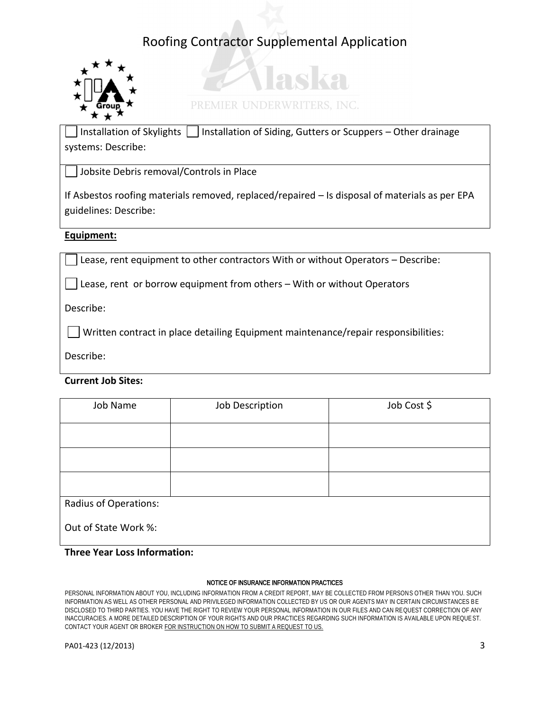

# PREMIER UNDERWRITERS, INC.

adza

Installation of Skylights  $\vert \vert$  Installation of Siding, Gutters or Scuppers – Other drainage systems: Describe:

Jobsite Debris removal/Controls in Place

If Asbestos roofing materials removed, replaced/repaired – Is disposal of materials as per EPA guidelines: Describe:

### **Equipment:**

Lease, rent equipment to other contractors With or without Operators – Describe:

Lease, rent or borrow equipment from others – With or without Operators

Describe:

Written contract in place detailing Equipment maintenance/repair responsibilities:

Describe:

**Current Job Sites:** 

| Job Name                     | Job Description | Job Cost \$ |
|------------------------------|-----------------|-------------|
|                              |                 |             |
|                              |                 |             |
|                              |                 |             |
| <b>Radius of Operations:</b> |                 |             |
| Out of State Work %:         |                 |             |

### **Three Year Loss Information:**

### NOTICE OF INSURANCE INFORMATION PRACTICES